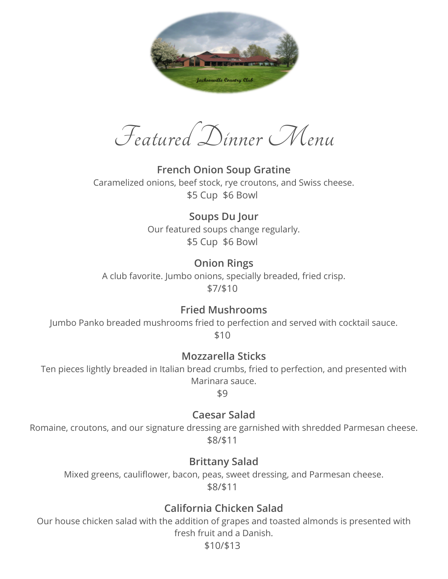

Featured Dinner Menu

**French Onion Soup Gratine** Caramelized onions, beef stock, rye croutons, and Swiss cheese. \$5 Cup \$6 Bowl

> **Soups Du Jour** Our featured soups change regularly. \$5 Cup \$6 Bowl

**Onion Rings** A club favorite. Jumbo onions, specially breaded, fried crisp. \$7/\$10

#### **Fried Mushrooms**

Jumbo Panko breaded mushrooms fried to perfection and served with cocktail sauce. \$10

**Mozzarella Sticks**

Ten pieces lightly breaded in Italian bread crumbs, fried to perfection, and presented with Marinara sauce.

\$9

**Caesar Salad**

Romaine, croutons, and our signature dressing are garnished with shredded Parmesan cheese. \$8/\$11

#### **Brittany Salad**

Mixed greens, cauliflower, bacon, peas, sweet dressing, and Parmesan cheese. \$8/\$11

## **California Chicken Salad**

Our house chicken salad with the addition of grapes and toasted almonds is presented with fresh fruit and a Danish.

\$10/\$13